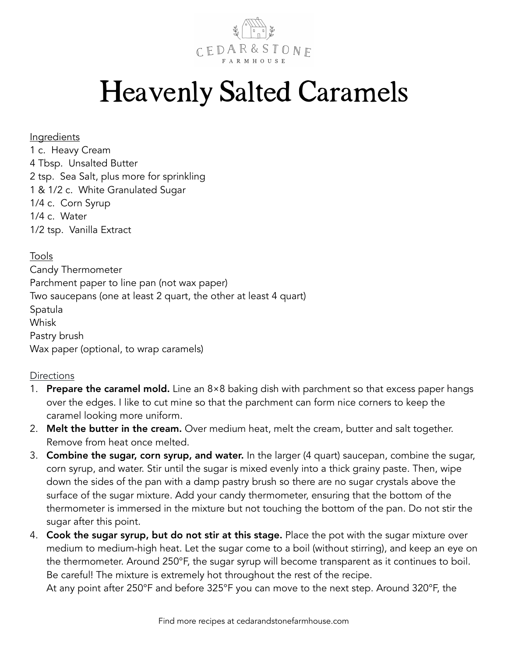

## Heavenly Salted Caramels

## Ingredients

1 c. Heavy Cream 4 Tbsp. Unsalted Butter 2 tsp. Sea Salt, plus more for sprinkling 1 & 1/2 c. White Granulated Sugar 1/4 c. Corn Syrup 1/4 c. Water 1/2 tsp. Vanilla Extract

## Tools

Candy Thermometer Parchment paper to line pan (not wax paper) Two saucepans (one at least 2 quart, the other at least 4 quart) Spatula **Whisk** Pastry brush Wax paper (optional, to wrap caramels)

## **Directions**

- 1. **Prepare the caramel mold.** Line an  $8\times8$  baking dish with parchment so that excess paper hangs over the edges. I like to cut mine so that the parchment can form nice corners to keep the caramel looking more uniform.
- 2. Melt the butter in the cream. Over medium heat, melt the cream, butter and salt together. Remove from heat once melted.
- 3. Combine the sugar, corn syrup, and water. In the larger (4 quart) saucepan, combine the sugar, corn syrup, and water. Stir until the sugar is mixed evenly into a thick grainy paste. Then, wipe down the sides of the pan with a damp pastry brush so there are no sugar crystals above the surface of the sugar mixture. Add your candy thermometer, ensuring that the bottom of the thermometer is immersed in the mixture but not touching the bottom of the pan. Do not stir the sugar after this point.
- 4. Cook the sugar syrup, but do not stir at this stage. Place the pot with the sugar mixture over medium to medium-high heat. Let the sugar come to a boil (without stirring), and keep an eye on the thermometer. Around 250°F, the sugar syrup will become transparent as it continues to boil. Be careful! The mixture is extremely hot throughout the rest of the recipe.

At any point after 250°F and before 325°F you can move to the next step. Around 320°F, the